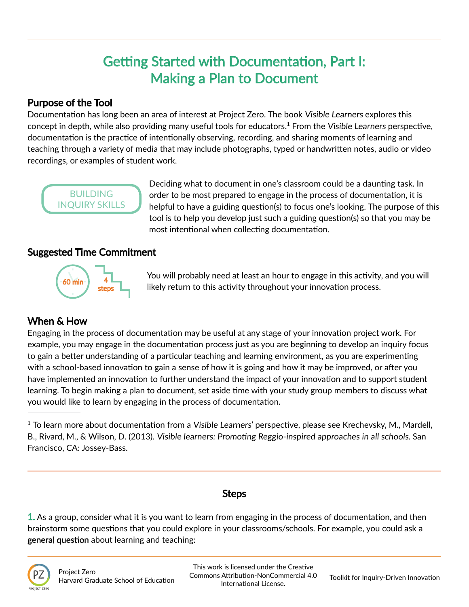# Getting Started with Documentation, Part I: Making a Plan to Document

### Purpose of the Tool

Documentation has long been an area of interest at Project Zero. The book Visible Learners explores this concept in depth, while also providing many useful tools for educators.<sup>1</sup> From the Visible Learners perspective, documentation is the practice of intentionally observing, recording, and sharing moments of learning and teaching through a variety of media that may include photographs, typed or handwritten notes, audio or video recordings, or examples of student work.



Deciding what to document in one's classroom could be a daunting task. In order to be most prepared to engage in the process of documentation, it is helpful to have a guiding question(s) to focus one's looking. The purpose of this tool is to help you develop just such a guiding question(s) so that you may be most intentional when collecting documentation.

### Suggested Time Commitment



You will probably need at least an hour to engage in this activity, and you will likely return to this activity throughout your innovation process.

## When & How

Engaging in the process of documentation may be useful at any stage of your innovation project work. For example, you may engage in the documentation process just as you are beginning to develop an inquiry focus to gain a better understanding of a particular teaching and learning environment, as you are experimenting with a school-based innovation to gain a sense of how it is going and how it may be improved, or after you have implemented an innovation to further understand the impact of your innovation and to support student learning. To begin making a plan to document, set aside time with your study group members to discuss what you would like to learn by engaging in the process of documentation.

<sup>1</sup> To learn more about documentation from a Visible Learners' perspective, please see Krechevsky, M., Mardell, B., Rivard, M., & Wilson, D. (2013). Visible learners: Promoting Reggio-inspired approaches in all schools. San Francisco, CA: Jossey-Bass.

#### Steps

1. As a group, consider what it is you want to learn from engaging in the process of documentation, and then brainstorm some questions that you could explore in your classrooms/schools. For example, you could ask a general question about learning and teaching: